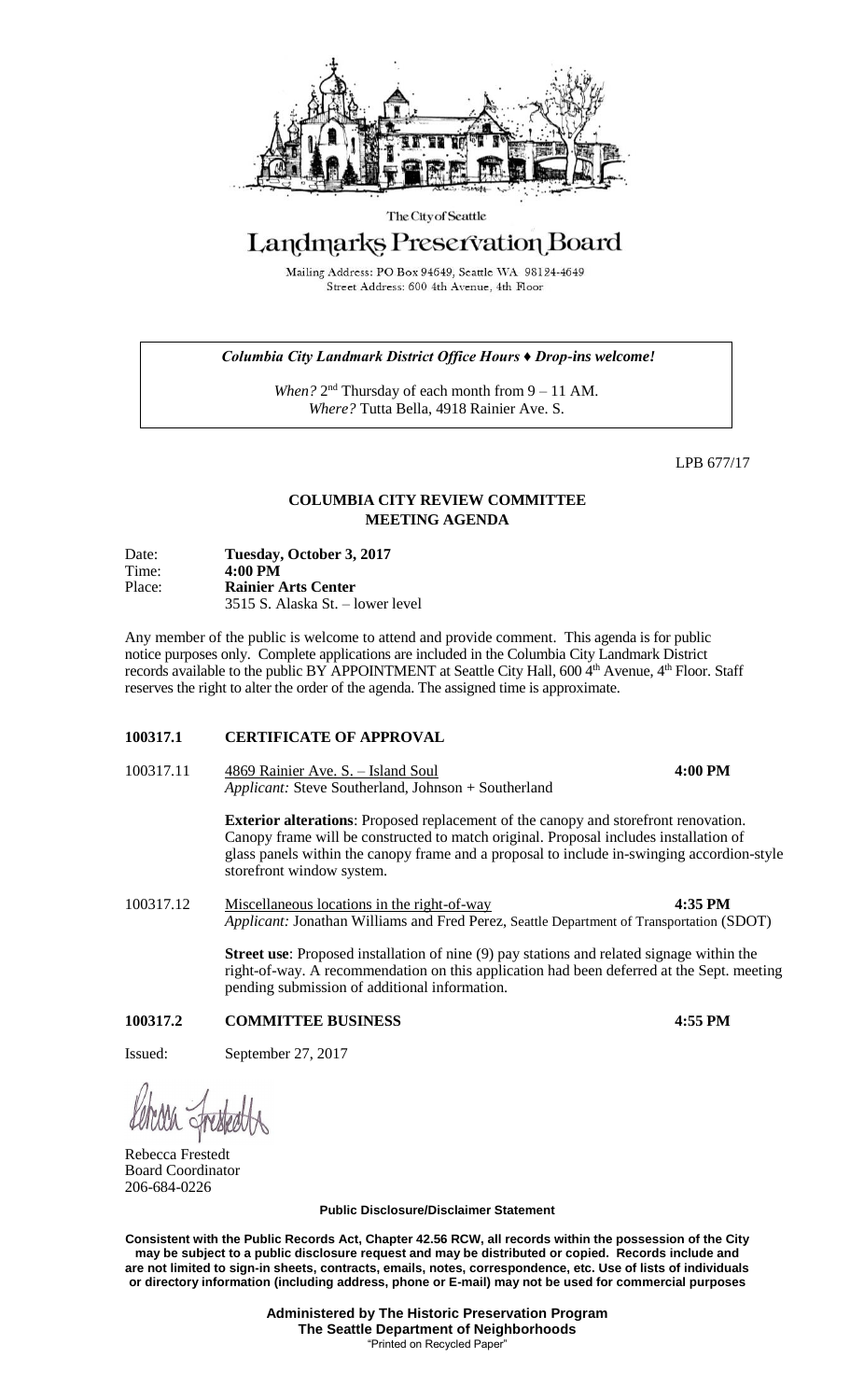

#### The City of Seattle

# Landmarks Preservation Board

Mailing Address: PO Box 94649, Seattle WA 98124-4649 Street Address: 600 4th Avenue, 4th Floor

### *Columbia City Landmark District Office Hours ♦ Drop-ins welcome!*

When? 2<sup>nd</sup> Thursday of each month from 9 – 11 AM. *Where?* Tutta Bella, 4918 Rainier Ave. S.

LPB 677/17

## **COLUMBIA CITY REVIEW COMMITTEE MEETING AGENDA**

| Date:  | Tuesday, October 3, 2017         |
|--------|----------------------------------|
| Time:  | $4:00 \text{ PM}$                |
| Place: | <b>Rainier Arts Center</b>       |
|        | 3515 S. Alaska St. – lower level |

Any member of the public is welcome to attend and provide comment. This agenda is for public notice purposes only. Complete applications are included in the Columbia City Landmark District records available to the public BY APPOINTMENT at Seattle City Hall, 600 4<sup>th</sup> Avenue, 4<sup>th</sup> Floor. Staff reserves the right to alter the order of the agenda. The assigned time is approximate.

#### **100317.1 CERTIFICATE OF APPROVAL**

100317.11 4869 Rainier Ave. S. – Island Soul **4:00 PM** *Applicant:* Steve Southerland, Johnson + Southerland

> **Exterior alterations**: Proposed replacement of the canopy and storefront renovation. Canopy frame will be constructed to match original. Proposal includes installation of glass panels within the canopy frame and a proposal to include in-swinging accordion-style storefront window system.

100317.12 Miscellaneous locations in the right-of-way **4:35 PM** *Applicant:* Jonathan Williams and Fred Perez, Seattle Department of Transportation (SDOT)

> **Street use**: Proposed installation of nine (9) pay stations and related signage within the right-of-way. A recommendation on this application had been deferred at the Sept. meeting pending submission of additional information.

## **100317.2 COMMITTEE BUSINESS 4:55 PM**

Issued: September 27, 2017

Rebecca Frestedt Board Coordinator 206-684-0226

**Public Disclosure/Disclaimer Statement**

**Consistent with the Public Records Act, Chapter 42.56 RCW, all records within the possession of the City may be subject to a public disclosure request and may be distributed or copied. Records include and are not limited to sign-in sheets, contracts, emails, notes, correspondence, etc. Use of lists of individuals or directory information (including address, phone or E-mail) may not be used for commercial purposes**

> **Administered by The Historic Preservation Program The Seattle Department of Neighborhoods** "Printed on Recycled Paper"